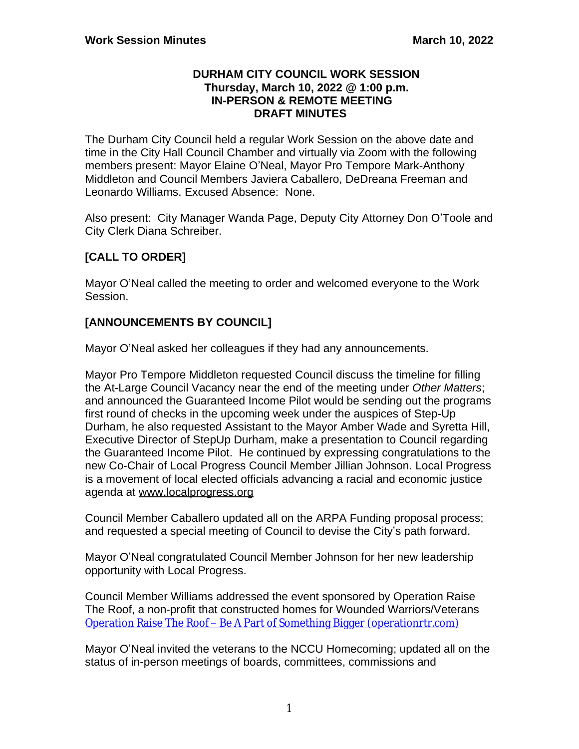### **DURHAM CITY COUNCIL WORK SESSION Thursday, March 10, 2022 @ 1:00 p.m. IN-PERSON & REMOTE MEETING DRAFT MINUTES**

The Durham City Council held a regular Work Session on the above date and time in the City Hall Council Chamber and virtually via Zoom with the following members present: Mayor Elaine O'Neal, Mayor Pro Tempore Mark-Anthony Middleton and Council Members Javiera Caballero, DeDreana Freeman and Leonardo Williams. Excused Absence: None.

Also present: City Manager Wanda Page, Deputy City Attorney Don O'Toole and City Clerk Diana Schreiber.

# **[CALL TO ORDER]**

Mayor O'Neal called the meeting to order and welcomed everyone to the Work Session.

# **[ANNOUNCEMENTS BY COUNCIL]**

Mayor O'Neal asked her colleagues if they had any announcements.

Mayor Pro Tempore Middleton requested Council discuss the timeline for filling the At-Large Council Vacancy near the end of the meeting under *Other Matters*; and announced the Guaranteed Income Pilot would be sending out the programs first round of checks in the upcoming week under the auspices of Step-Up Durham, he also requested Assistant to the Mayor Amber Wade and Syretta Hill, Executive Director of StepUp Durham, make a presentation to Council regarding the Guaranteed Income Pilot. He continued by expressing congratulations to the new Co-Chair of Local Progress Council Member Jillian Johnson. Local Progress is a movement of local elected officials advancing a racial and economic justice agenda at www.localprogress.org

Council Member Caballero updated all on the ARPA Funding proposal process; and requested a special meeting of Council to devise the City's path forward.

Mayor O'Neal congratulated Council Member Johnson for her new leadership opportunity with Local Progress.

Council Member Williams addressed the event sponsored by Operation Raise The Roof, a non-profit that constructed homes for Wounded Warriors/Veterans Operation Raise The Roof – [Be A Part of Something Bigger \(operationrtr.com\)](https://operationrtr.com/?msclkid=7bfb57cea61311ec8edc5764c746e9a0)

Mayor O'Neal invited the veterans to the NCCU Homecoming; updated all on the status of in-person meetings of boards, committees, commissions and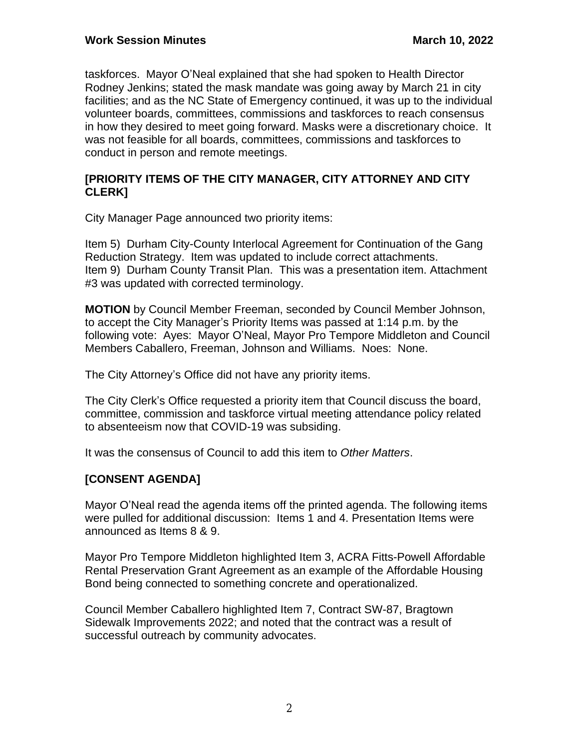taskforces. Mayor O'Neal explained that she had spoken to Health Director Rodney Jenkins; stated the mask mandate was going away by March 21 in city facilities; and as the NC State of Emergency continued, it was up to the individual volunteer boards, committees, commissions and taskforces to reach consensus in how they desired to meet going forward. Masks were a discretionary choice. It was not feasible for all boards, committees, commissions and taskforces to conduct in person and remote meetings.

## **[PRIORITY ITEMS OF THE CITY MANAGER, CITY ATTORNEY AND CITY CLERK]**

City Manager Page announced two priority items:

Item 5) Durham City-County Interlocal Agreement for Continuation of the Gang Reduction Strategy. Item was updated to include correct attachments. Item 9) Durham County Transit Plan. This was a presentation item. Attachment #3 was updated with corrected terminology.

**MOTION** by Council Member Freeman, seconded by Council Member Johnson, to accept the City Manager's Priority Items was passed at 1:14 p.m. by the following vote: Ayes: Mayor O'Neal, Mayor Pro Tempore Middleton and Council Members Caballero, Freeman, Johnson and Williams. Noes: None.

The City Attorney's Office did not have any priority items.

The City Clerk's Office requested a priority item that Council discuss the board, committee, commission and taskforce virtual meeting attendance policy related to absenteeism now that COVID-19 was subsiding.

It was the consensus of Council to add this item to *Other Matters*.

# **[CONSENT AGENDA]**

Mayor O'Neal read the agenda items off the printed agenda. The following items were pulled for additional discussion: Items 1 and 4. Presentation Items were announced as Items 8 & 9.

Mayor Pro Tempore Middleton highlighted Item 3, ACRA Fitts-Powell Affordable Rental Preservation Grant Agreement as an example of the Affordable Housing Bond being connected to something concrete and operationalized.

Council Member Caballero highlighted Item 7, Contract SW-87, Bragtown Sidewalk Improvements 2022; and noted that the contract was a result of successful outreach by community advocates.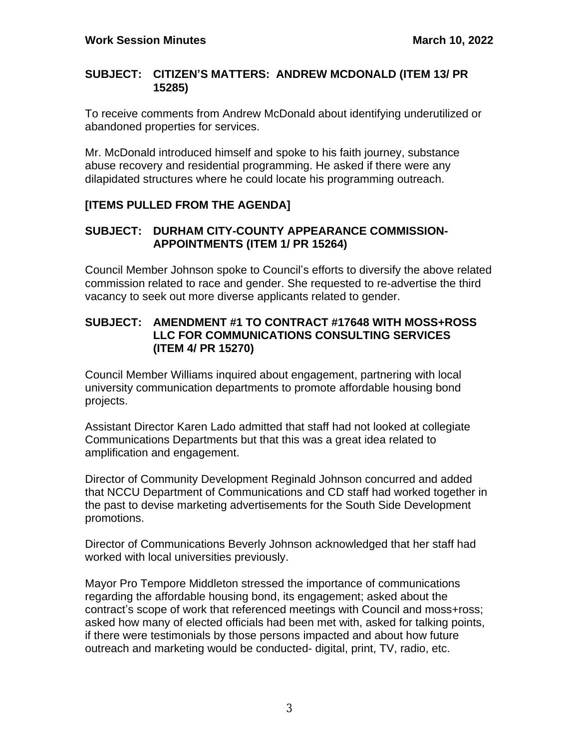## **SUBJECT: CITIZEN'S MATTERS: ANDREW MCDONALD (ITEM 13/ PR 15285)**

To receive comments from Andrew McDonald about identifying underutilized or abandoned properties for services.

Mr. McDonald introduced himself and spoke to his faith journey, substance abuse recovery and residential programming. He asked if there were any dilapidated structures where he could locate his programming outreach.

# **[ITEMS PULLED FROM THE AGENDA]**

## **SUBJECT: DURHAM CITY-COUNTY APPEARANCE COMMISSION-APPOINTMENTS (ITEM 1/ PR 15264)**

Council Member Johnson spoke to Council's efforts to diversify the above related commission related to race and gender. She requested to re-advertise the third vacancy to seek out more diverse applicants related to gender.

### **SUBJECT: AMENDMENT #1 TO CONTRACT #17648 WITH MOSS+ROSS LLC FOR COMMUNICATIONS CONSULTING SERVICES (ITEM 4/ PR 15270)**

Council Member Williams inquired about engagement, partnering with local university communication departments to promote affordable housing bond projects.

Assistant Director Karen Lado admitted that staff had not looked at collegiate Communications Departments but that this was a great idea related to amplification and engagement.

Director of Community Development Reginald Johnson concurred and added that NCCU Department of Communications and CD staff had worked together in the past to devise marketing advertisements for the South Side Development promotions.

Director of Communications Beverly Johnson acknowledged that her staff had worked with local universities previously.

Mayor Pro Tempore Middleton stressed the importance of communications regarding the affordable housing bond, its engagement; asked about the contract's scope of work that referenced meetings with Council and moss+ross; asked how many of elected officials had been met with, asked for talking points, if there were testimonials by those persons impacted and about how future outreach and marketing would be conducted- digital, print, TV, radio, etc.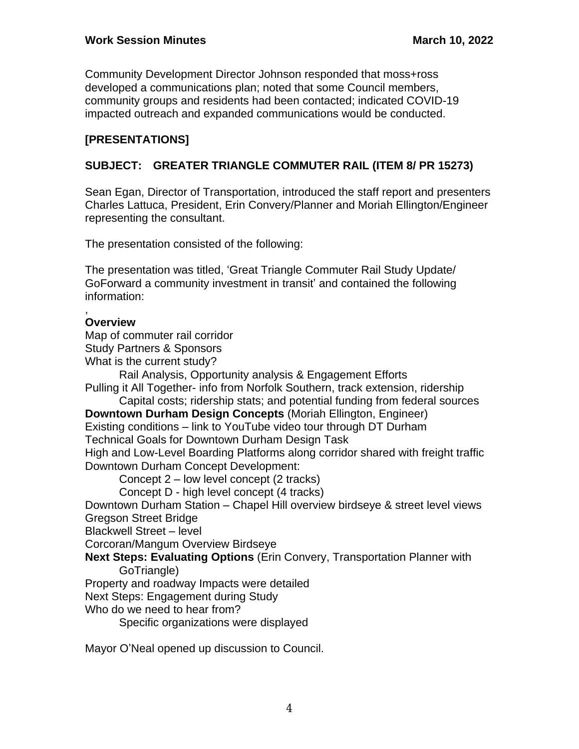Community Development Director Johnson responded that moss+ross developed a communications plan; noted that some Council members, community groups and residents had been contacted; indicated COVID-19 impacted outreach and expanded communications would be conducted.

# **[PRESENTATIONS]**

# **SUBJECT: GREATER TRIANGLE COMMUTER RAIL (ITEM 8/ PR 15273)**

Sean Egan, Director of Transportation, introduced the staff report and presenters Charles Lattuca, President, Erin Convery/Planner and Moriah Ellington/Engineer representing the consultant.

The presentation consisted of the following:

The presentation was titled, 'Great Triangle Commuter Rail Study Update/ GoForward a community investment in transit' and contained the following information:

#### , **Overview**

Map of commuter rail corridor

Study Partners & Sponsors

What is the current study?

Rail Analysis, Opportunity analysis & Engagement Efforts

Pulling it All Together- info from Norfolk Southern, track extension, ridership Capital costs; ridership stats; and potential funding from federal sources

**Downtown Durham Design Concepts** (Moriah Ellington, Engineer)

Existing conditions – link to YouTube video tour through DT Durham

Technical Goals for Downtown Durham Design Task

High and Low-Level Boarding Platforms along corridor shared with freight traffic Downtown Durham Concept Development:

Concept 2 – low level concept (2 tracks)

Concept D - high level concept (4 tracks)

Downtown Durham Station – Chapel Hill overview birdseye & street level views Gregson Street Bridge

Blackwell Street – level

Corcoran/Mangum Overview Birdseye

**Next Steps: Evaluating Options** (Erin Convery, Transportation Planner with GoTriangle)

Property and roadway Impacts were detailed

Next Steps: Engagement during Study

Who do we need to hear from?

Specific organizations were displayed

Mayor O'Neal opened up discussion to Council.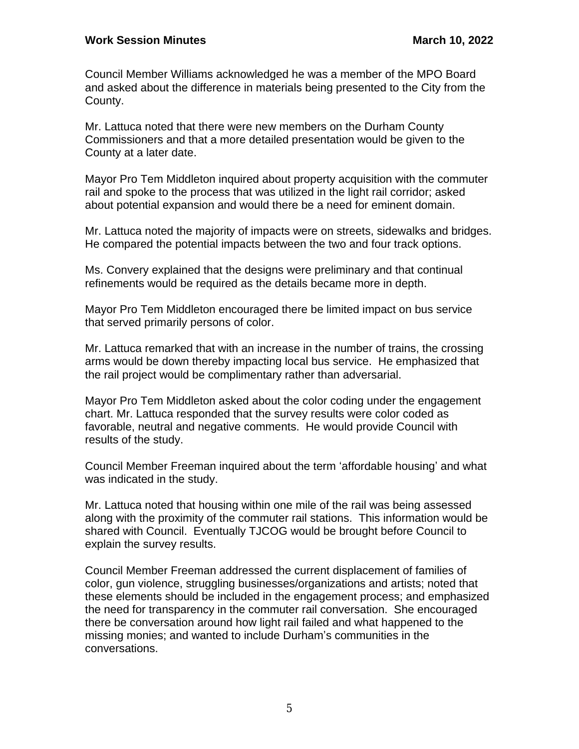Council Member Williams acknowledged he was a member of the MPO Board and asked about the difference in materials being presented to the City from the County.

Mr. Lattuca noted that there were new members on the Durham County Commissioners and that a more detailed presentation would be given to the County at a later date.

Mayor Pro Tem Middleton inquired about property acquisition with the commuter rail and spoke to the process that was utilized in the light rail corridor; asked about potential expansion and would there be a need for eminent domain.

Mr. Lattuca noted the majority of impacts were on streets, sidewalks and bridges. He compared the potential impacts between the two and four track options.

Ms. Convery explained that the designs were preliminary and that continual refinements would be required as the details became more in depth.

Mayor Pro Tem Middleton encouraged there be limited impact on bus service that served primarily persons of color.

Mr. Lattuca remarked that with an increase in the number of trains, the crossing arms would be down thereby impacting local bus service. He emphasized that the rail project would be complimentary rather than adversarial.

Mayor Pro Tem Middleton asked about the color coding under the engagement chart. Mr. Lattuca responded that the survey results were color coded as favorable, neutral and negative comments. He would provide Council with results of the study.

Council Member Freeman inquired about the term 'affordable housing' and what was indicated in the study.

Mr. Lattuca noted that housing within one mile of the rail was being assessed along with the proximity of the commuter rail stations. This information would be shared with Council. Eventually TJCOG would be brought before Council to explain the survey results.

Council Member Freeman addressed the current displacement of families of color, gun violence, struggling businesses/organizations and artists; noted that these elements should be included in the engagement process; and emphasized the need for transparency in the commuter rail conversation. She encouraged there be conversation around how light rail failed and what happened to the missing monies; and wanted to include Durham's communities in the conversations.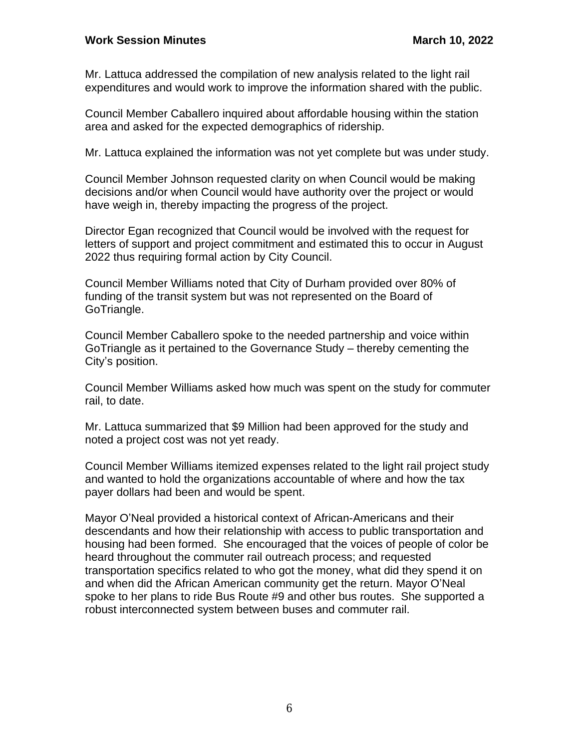Mr. Lattuca addressed the compilation of new analysis related to the light rail expenditures and would work to improve the information shared with the public.

Council Member Caballero inquired about affordable housing within the station area and asked for the expected demographics of ridership.

Mr. Lattuca explained the information was not yet complete but was under study.

Council Member Johnson requested clarity on when Council would be making decisions and/or when Council would have authority over the project or would have weigh in, thereby impacting the progress of the project.

Director Egan recognized that Council would be involved with the request for letters of support and project commitment and estimated this to occur in August 2022 thus requiring formal action by City Council.

Council Member Williams noted that City of Durham provided over 80% of funding of the transit system but was not represented on the Board of GoTriangle.

Council Member Caballero spoke to the needed partnership and voice within GoTriangle as it pertained to the Governance Study – thereby cementing the City's position.

Council Member Williams asked how much was spent on the study for commuter rail, to date.

Mr. Lattuca summarized that \$9 Million had been approved for the study and noted a project cost was not yet ready.

Council Member Williams itemized expenses related to the light rail project study and wanted to hold the organizations accountable of where and how the tax payer dollars had been and would be spent.

Mayor O'Neal provided a historical context of African-Americans and their descendants and how their relationship with access to public transportation and housing had been formed. She encouraged that the voices of people of color be heard throughout the commuter rail outreach process; and requested transportation specifics related to who got the money, what did they spend it on and when did the African American community get the return. Mayor O'Neal spoke to her plans to ride Bus Route #9 and other bus routes. She supported a robust interconnected system between buses and commuter rail.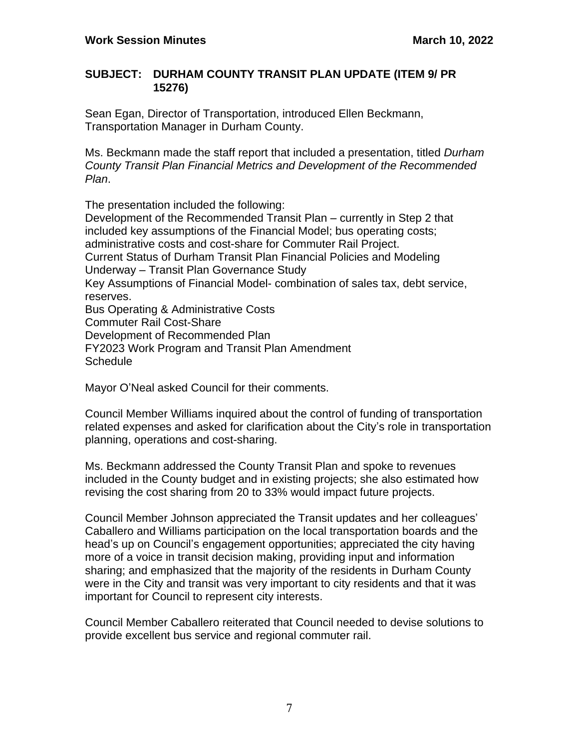## **SUBJECT: DURHAM COUNTY TRANSIT PLAN UPDATE (ITEM 9/ PR 15276)**

Sean Egan, Director of Transportation, introduced Ellen Beckmann, Transportation Manager in Durham County.

Ms. Beckmann made the staff report that included a presentation, titled *Durham County Transit Plan Financial Metrics and Development of the Recommended Plan*.

The presentation included the following: Development of the Recommended Transit Plan – currently in Step 2 that included key assumptions of the Financial Model; bus operating costs; administrative costs and cost-share for Commuter Rail Project. Current Status of Durham Transit Plan Financial Policies and Modeling Underway – Transit Plan Governance Study Key Assumptions of Financial Model- combination of sales tax, debt service, reserves. Bus Operating & Administrative Costs

Commuter Rail Cost-Share Development of Recommended Plan FY2023 Work Program and Transit Plan Amendment **Schedule** 

Mayor O'Neal asked Council for their comments.

Council Member Williams inquired about the control of funding of transportation related expenses and asked for clarification about the City's role in transportation planning, operations and cost-sharing.

Ms. Beckmann addressed the County Transit Plan and spoke to revenues included in the County budget and in existing projects; she also estimated how revising the cost sharing from 20 to 33% would impact future projects.

Council Member Johnson appreciated the Transit updates and her colleagues' Caballero and Williams participation on the local transportation boards and the head's up on Council's engagement opportunities; appreciated the city having more of a voice in transit decision making, providing input and information sharing; and emphasized that the majority of the residents in Durham County were in the City and transit was very important to city residents and that it was important for Council to represent city interests.

Council Member Caballero reiterated that Council needed to devise solutions to provide excellent bus service and regional commuter rail.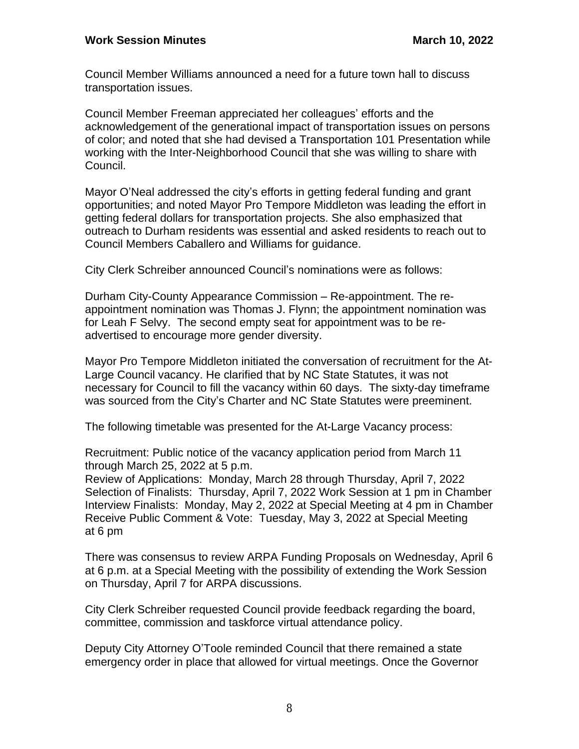Council Member Williams announced a need for a future town hall to discuss transportation issues.

Council Member Freeman appreciated her colleagues' efforts and the acknowledgement of the generational impact of transportation issues on persons of color; and noted that she had devised a Transportation 101 Presentation while working with the Inter-Neighborhood Council that she was willing to share with Council.

Mayor O'Neal addressed the city's efforts in getting federal funding and grant opportunities; and noted Mayor Pro Tempore Middleton was leading the effort in getting federal dollars for transportation projects. She also emphasized that outreach to Durham residents was essential and asked residents to reach out to Council Members Caballero and Williams for guidance.

City Clerk Schreiber announced Council's nominations were as follows:

Durham City-County Appearance Commission – Re-appointment. The reappointment nomination was Thomas J. Flynn; the appointment nomination was for Leah F Selvy. The second empty seat for appointment was to be readvertised to encourage more gender diversity.

Mayor Pro Tempore Middleton initiated the conversation of recruitment for the At-Large Council vacancy. He clarified that by NC State Statutes, it was not necessary for Council to fill the vacancy within 60 days. The sixty-day timeframe was sourced from the City's Charter and NC State Statutes were preeminent.

The following timetable was presented for the At-Large Vacancy process:

Recruitment: Public notice of the vacancy application period from March 11 through March 25, 2022 at 5 p.m.

Review of Applications: Monday, March 28 through Thursday, April 7, 2022 Selection of Finalists: Thursday, April 7, 2022 Work Session at 1 pm in Chamber Interview Finalists: Monday, May 2, 2022 at Special Meeting at 4 pm in Chamber Receive Public Comment & Vote: Tuesday, May 3, 2022 at Special Meeting at 6 pm

There was consensus to review ARPA Funding Proposals on Wednesday, April 6 at 6 p.m. at a Special Meeting with the possibility of extending the Work Session on Thursday, April 7 for ARPA discussions.

City Clerk Schreiber requested Council provide feedback regarding the board, committee, commission and taskforce virtual attendance policy.

Deputy City Attorney O'Toole reminded Council that there remained a state emergency order in place that allowed for virtual meetings. Once the Governor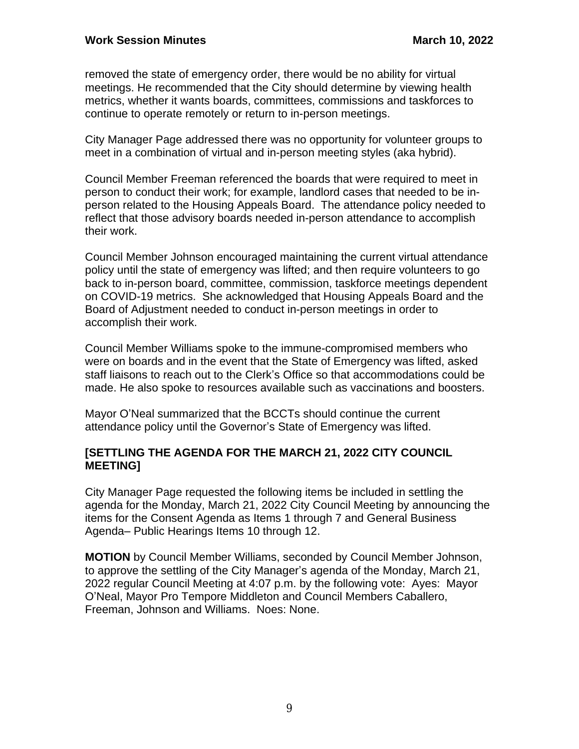removed the state of emergency order, there would be no ability for virtual meetings. He recommended that the City should determine by viewing health metrics, whether it wants boards, committees, commissions and taskforces to continue to operate remotely or return to in-person meetings.

City Manager Page addressed there was no opportunity for volunteer groups to meet in a combination of virtual and in-person meeting styles (aka hybrid).

Council Member Freeman referenced the boards that were required to meet in person to conduct their work; for example, landlord cases that needed to be inperson related to the Housing Appeals Board. The attendance policy needed to reflect that those advisory boards needed in-person attendance to accomplish their work.

Council Member Johnson encouraged maintaining the current virtual attendance policy until the state of emergency was lifted; and then require volunteers to go back to in-person board, committee, commission, taskforce meetings dependent on COVID-19 metrics. She acknowledged that Housing Appeals Board and the Board of Adjustment needed to conduct in-person meetings in order to accomplish their work.

Council Member Williams spoke to the immune-compromised members who were on boards and in the event that the State of Emergency was lifted, asked staff liaisons to reach out to the Clerk's Office so that accommodations could be made. He also spoke to resources available such as vaccinations and boosters.

Mayor O'Neal summarized that the BCCTs should continue the current attendance policy until the Governor's State of Emergency was lifted.

## **[SETTLING THE AGENDA FOR THE MARCH 21, 2022 CITY COUNCIL MEETING]**

City Manager Page requested the following items be included in settling the agenda for the Monday, March 21, 2022 City Council Meeting by announcing the items for the Consent Agenda as Items 1 through 7 and General Business Agenda– Public Hearings Items 10 through 12.

**MOTION** by Council Member Williams, seconded by Council Member Johnson, to approve the settling of the City Manager's agenda of the Monday, March 21, 2022 regular Council Meeting at 4:07 p.m. by the following vote: Ayes: Mayor O'Neal, Mayor Pro Tempore Middleton and Council Members Caballero, Freeman, Johnson and Williams. Noes: None.